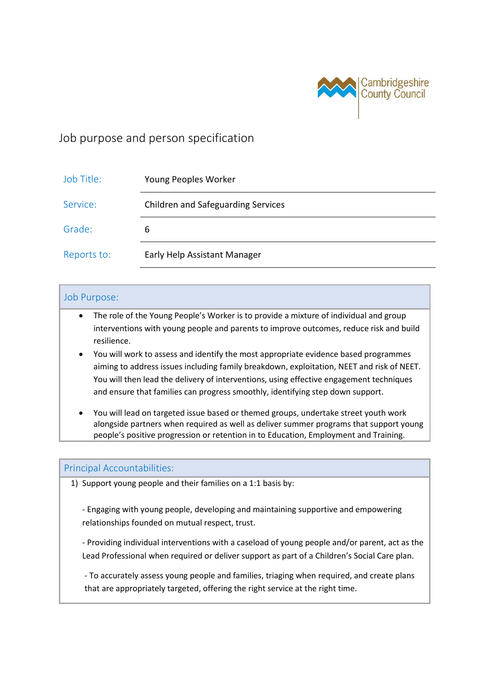

# Job purpose and person specification

| Job Title:  | Young Peoples Worker                      |
|-------------|-------------------------------------------|
| Service:    | <b>Children and Safeguarding Services</b> |
| Grade:      | 6                                         |
| Reports to: | Early Help Assistant Manager              |

### Job Purpose:

- The role of the Young People's Worker is to provide a mixture of individual and group interventions with young people and parents to improve outcomes, reduce risk and build resilience.
- You will work to assess and identify the most appropriate evidence based programmes aiming to address issues including family breakdown, exploitation, NEET and risk of NEET. You will then lead the delivery of interventions, using effective engagement techniques and ensure that families can progress smoothly, identifying step down support.
- You will lead on targeted issue based or themed groups, undertake street youth work alongside partners when required as well as deliver summer programs that support young people's positive progression or retention in to Education, Employment and Training.

#### Principal Accountabilities:

1) Support young people and their families on a 1:1 basis by:

- Engaging with young people, developing and maintaining supportive and empowering relationships founded on mutual respect, trust.

- Providing individual interventions with a caseload of young people and/or parent, act as the Lead Professional when required or deliver support as part of a Children's Social Care plan.

- To accurately assess young people and families, triaging when required, and create plans that are appropriately targeted, offering the right service at the right time.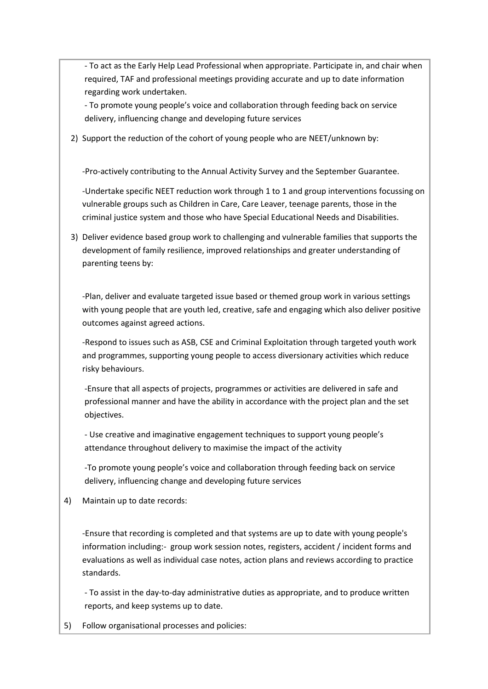- To act as the Early Help Lead Professional when appropriate. Participate in, and chair when required, TAF and professional meetings providing accurate and up to date information regarding work undertaken.

- To promote young people's voice and collaboration through feeding back on service delivery, influencing change and developing future services

2) Support the reduction of the cohort of young people who are NEET/unknown by:

-Pro-actively contributing to the Annual Activity Survey and the September Guarantee.

-Undertake specific NEET reduction work through 1 to 1 and group interventions focussing on vulnerable groups such as Children in Care, Care Leaver, teenage parents, those in the criminal justice system and those who have Special Educational Needs and Disabilities.

3) Deliver evidence based group work to challenging and vulnerable families that supports the development of family resilience, improved relationships and greater understanding of parenting teens by:

-Plan, deliver and evaluate targeted issue based or themed group work in various settings with young people that are youth led, creative, safe and engaging which also deliver positive outcomes against agreed actions.

-Respond to issues such as ASB, CSE and Criminal Exploitation through targeted youth work and programmes, supporting young people to access diversionary activities which reduce risky behaviours.

-Ensure that all aspects of projects, programmes or activities are delivered in safe and professional manner and have the ability in accordance with the project plan and the set objectives.

- Use creative and imaginative engagement techniques to support young people's attendance throughout delivery to maximise the impact of the activity

-To promote young people's voice and collaboration through feeding back on service delivery, influencing change and developing future services

4) Maintain up to date records:

-Ensure that recording is completed and that systems are up to date with young people's information including:- group work session notes, registers, accident / incident forms and evaluations as well as individual case notes, action plans and reviews according to practice standards.

- To assist in the day-to-day administrative duties as appropriate, and to produce written reports, and keep systems up to date.

5) Follow organisational processes and policies: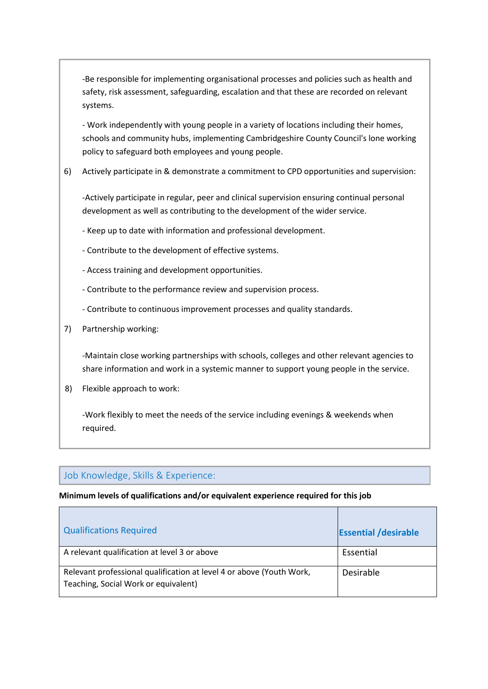-Be responsible for implementing organisational processes and policies such as health and safety, risk assessment, safeguarding, escalation and that these are recorded on relevant systems.

- Work independently with young people in a variety of locations including their homes, schools and community hubs, implementing Cambridgeshire County Council's lone working policy to safeguard both employees and young people.

6) Actively participate in & demonstrate a commitment to CPD opportunities and supervision:

-Actively participate in regular, peer and clinical supervision ensuring continual personal development as well as contributing to the development of the wider service.

- Keep up to date with information and professional development.
- Contribute to the development of effective systems.
- Access training and development opportunities.
- Contribute to the performance review and supervision process.
- Contribute to continuous improvement processes and quality standards.
- 7) Partnership working:

-Maintain close working partnerships with schools, colleges and other relevant agencies to share information and work in a systemic manner to support young people in the service.

8) Flexible approach to work:

-Work flexibly to meet the needs of the service including evenings & weekends when required.

## Job Knowledge, Skills & Experience:

#### **Minimum levels of qualifications and/or equivalent experience required for this job**

| <b>Qualifications Required</b>                                                                               | <b>Essential /desirable</b> |
|--------------------------------------------------------------------------------------------------------------|-----------------------------|
| A relevant qualification at level 3 or above                                                                 | Essential                   |
| Relevant professional qualification at level 4 or above (Youth Work,<br>Teaching, Social Work or equivalent) | Desirable                   |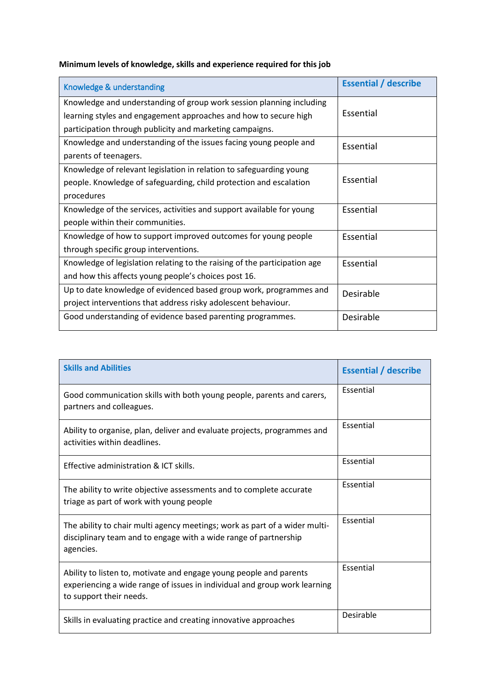|  | Minimum levels of knowledge, skills and experience required for this job |  |  |  |
|--|--------------------------------------------------------------------------|--|--|--|
|  |                                                                          |  |  |  |

| Knowledge & understanding                                                 | <b>Essential / describe</b> |  |
|---------------------------------------------------------------------------|-----------------------------|--|
| Knowledge and understanding of group work session planning including      |                             |  |
| learning styles and engagement approaches and how to secure high          | Essential                   |  |
| participation through publicity and marketing campaigns.                  |                             |  |
| Knowledge and understanding of the issues facing young people and         | Essential                   |  |
| parents of teenagers.                                                     |                             |  |
| Knowledge of relevant legislation in relation to safeguarding young       |                             |  |
| people. Knowledge of safeguarding, child protection and escalation        | Essential                   |  |
| procedures                                                                |                             |  |
| Knowledge of the services, activities and support available for young     | Essential                   |  |
| people within their communities.                                          |                             |  |
| Knowledge of how to support improved outcomes for young people            | Essential                   |  |
| through specific group interventions.                                     |                             |  |
| Knowledge of legislation relating to the raising of the participation age | Essential                   |  |
| and how this affects young people's choices post 16.                      |                             |  |
| Up to date knowledge of evidenced based group work, programmes and        | Desirable                   |  |
| project interventions that address risky adolescent behaviour.            |                             |  |
| Good understanding of evidence based parenting programmes.                | Desirable                   |  |

| <b>Skills and Abilities</b>                                                                                                                                                | <b>Essential / describe</b> |
|----------------------------------------------------------------------------------------------------------------------------------------------------------------------------|-----------------------------|
| Good communication skills with both young people, parents and carers,<br>partners and colleagues.                                                                          | Essential                   |
| Ability to organise, plan, deliver and evaluate projects, programmes and<br>activities within deadlines.                                                                   | Essential                   |
| Effective administration & ICT skills.                                                                                                                                     | Essential                   |
| The ability to write objective assessments and to complete accurate<br>triage as part of work with young people                                                            | Essential                   |
| The ability to chair multi agency meetings; work as part of a wider multi-<br>disciplinary team and to engage with a wide range of partnership<br>agencies.                | Essential                   |
| Ability to listen to, motivate and engage young people and parents<br>experiencing a wide range of issues in individual and group work learning<br>to support their needs. | Essential                   |
| Skills in evaluating practice and creating innovative approaches                                                                                                           | Desirable                   |